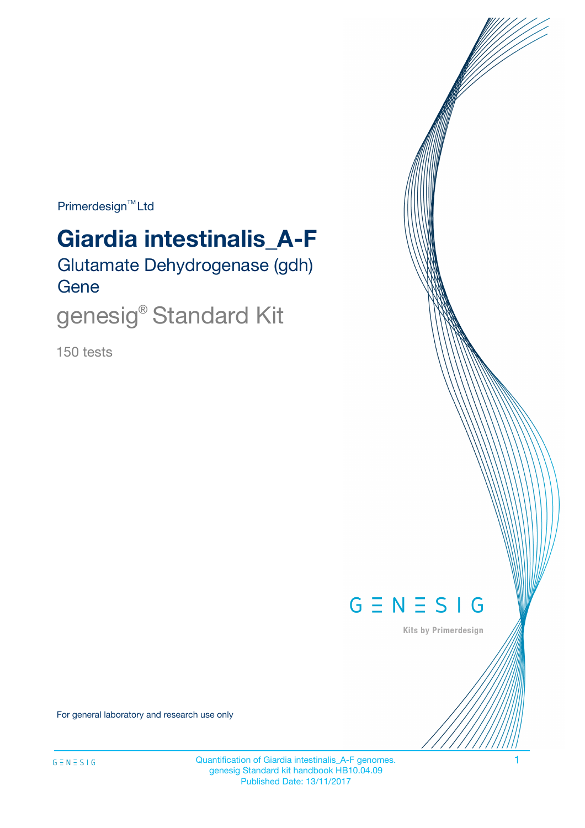$Primerdesign^{\text{TM}}Ltd$ 

# **Giardia intestinalis\_A-F**

Glutamate Dehydrogenase (gdh) Gene

genesig® Standard Kit

150 tests



Kits by Primerdesign

For general laboratory and research use only

Quantification of Giardia intestinalis\_A-F genomes. 1 genesig Standard kit handbook HB10.04.09 Published Date: 13/11/2017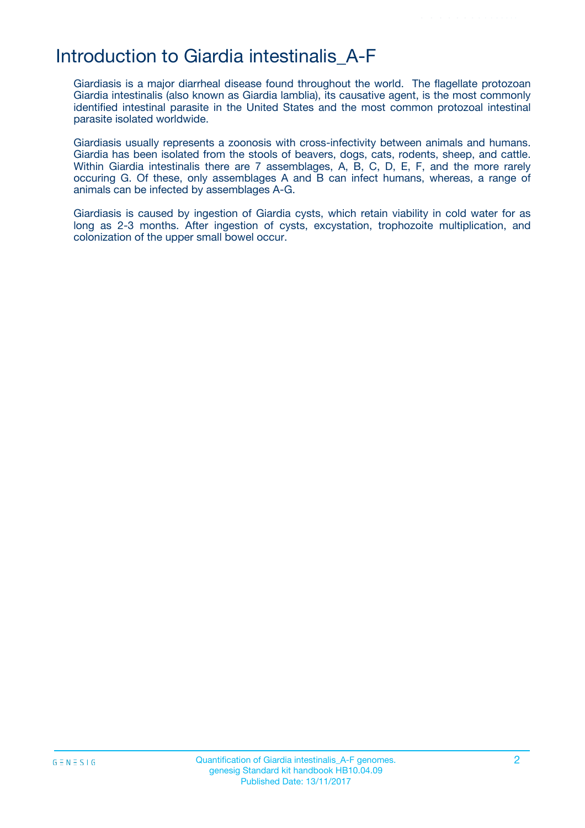### Introduction to Giardia intestinalis\_A-F

Giardiasis is a major diarrheal disease found throughout the world. The flagellate protozoan Giardia intestinalis (also known as Giardia lamblia), its causative agent, is the most commonly identified intestinal parasite in the United States and the most common protozoal intestinal parasite isolated worldwide.

Giardiasis usually represents a zoonosis with cross-infectivity between animals and humans. Giardia has been isolated from the stools of beavers, dogs, cats, rodents, sheep, and cattle. Within Giardia intestinalis there are 7 assemblages, A, B, C, D, E, F, and the more rarely occuring G. Of these, only assemblages A and B can infect humans, whereas, a range of animals can be infected by assemblages A-G.

Giardiasis is caused by ingestion of Giardia cysts, which retain viability in cold water for as long as 2-3 months. After ingestion of cysts, excystation, trophozoite multiplication, and colonization of the upper small bowel occur.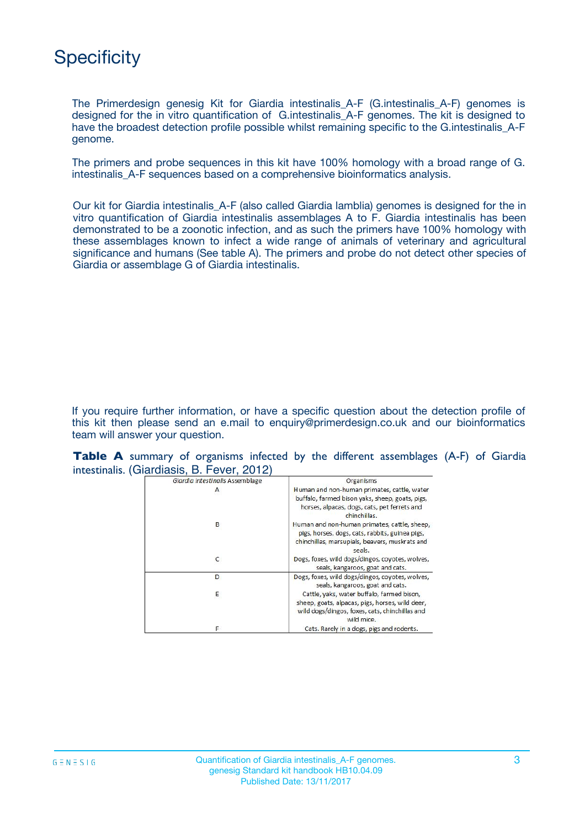# **Specificity**

The Primerdesign genesig Kit for Giardia intestinalis\_A-F (G.intestinalis\_A-F) genomes is designed for the in vitro quantification of G.intestinalis\_A-F genomes. The kit is designed to have the broadest detection profile possible whilst remaining specific to the G.intestinalis\_A-F genome.

The primers and probe sequences in this kit have 100% homology with a broad range of G. intestinalis\_A-F sequences based on a comprehensive bioinformatics analysis.

Our kit for Giardia intestinalis\_A-F (also called Giardia lamblia) genomes is designed for the in vitro quantification of Giardia intestinalis assemblages A to F. Giardia intestinalis has been demonstrated to be a zoonotic infection, and as such the primers have 100% homology with these assemblages known to infect a wide range of animals of veterinary and agricultural significance and humans (See table A). The primers and probe do not detect other species of Giardia or assemblage G of Giardia intestinalis.

If you require further information, or have a specific question about the detection profile of this kit then please send an e.mail to enquiry@primerdesign.co.uk and our bioinformatics team will answer your question.

|  |  |                                            |  |  | <b>Table A</b> summary of organisms infected by the different assemblages (A-F) of Giardia |  |  |
|--|--|--------------------------------------------|--|--|--------------------------------------------------------------------------------------------|--|--|
|  |  | intestinalis. (Giardiasis, B. Fever, 2012) |  |  |                                                                                            |  |  |

| Giardia intestinalis Assemblage | Organisms                                                                                                                                                      |
|---------------------------------|----------------------------------------------------------------------------------------------------------------------------------------------------------------|
| А                               | Human and non-human primates, cattle, water<br>buffalo, farmed bison yaks, sheep, goats, pigs,<br>horses, alpacas, dogs, cats, pet ferrets and<br>chinchillas. |
| В                               | Human and non-human primates, cattle, sheep,<br>pigs, horses, dogs, cats, rabbits, guinea pigs,<br>chinchillas, marsupials, beavers, muskrats and<br>seals.    |
| с                               | Dogs, foxes, wild dogs/dingos, coyotes, wolves,<br>seals, kangaroos, goat and cats.                                                                            |
| D                               | Dogs, foxes, wild dogs/dingos, coyotes, wolves,<br>seals, kangaroos, goat and cats.                                                                            |
| Ε                               | Cattle, yaks, water buffalo, farmed bison,<br>sheep, goats, alpacas, pigs, horses, wild deer,<br>wild dogs/dingos, foxes, cats, chinchillas and<br>wild mice.  |
| F                               | Cats. Rarely in a dogs, pigs and rodents.                                                                                                                      |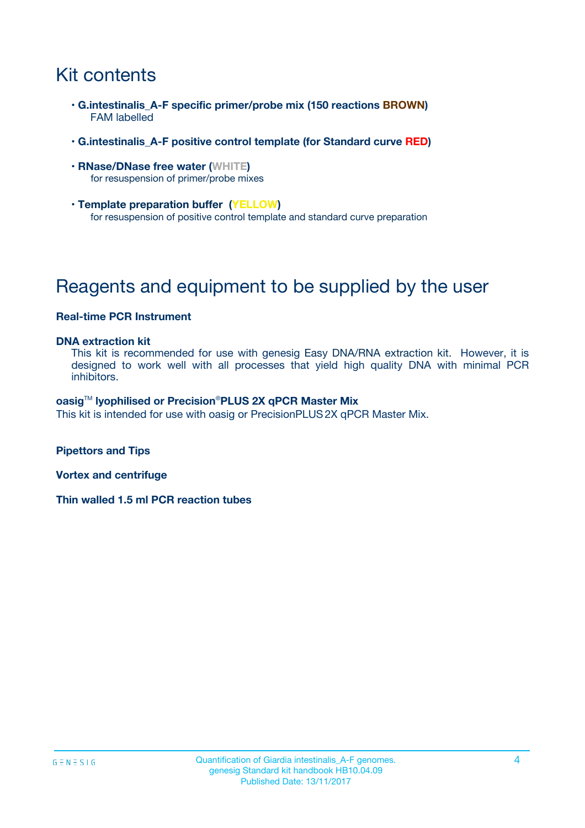# Kit contents

- **G.intestinalis\_A-F specific primer/probe mix (150 reactions BROWN)** FAM labelled
- **G.intestinalis\_A-F positive control template (for Standard curve RED)**
- **RNase/DNase free water (WHITE)** for resuspension of primer/probe mixes
- **Template preparation buffer (YELLOW)** for resuspension of positive control template and standard curve preparation

# Reagents and equipment to be supplied by the user

#### **Real-time PCR Instrument**

#### **DNA extraction kit**

This kit is recommended for use with genesig Easy DNA/RNA extraction kit. However, it is designed to work well with all processes that yield high quality DNA with minimal PCR inhibitors.

#### **oasig**TM **lyophilised or Precision**®**PLUS 2X qPCR Master Mix**

This kit is intended for use with oasig or PrecisionPLUS2X qPCR Master Mix.

**Pipettors and Tips**

**Vortex and centrifuge**

**Thin walled 1.5 ml PCR reaction tubes**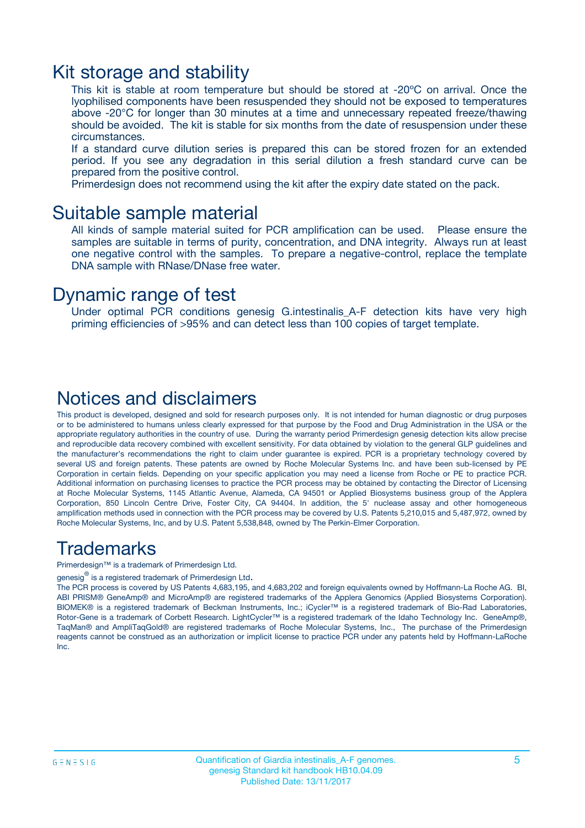### Kit storage and stability

This kit is stable at room temperature but should be stored at -20ºC on arrival. Once the lyophilised components have been resuspended they should not be exposed to temperatures above -20°C for longer than 30 minutes at a time and unnecessary repeated freeze/thawing should be avoided. The kit is stable for six months from the date of resuspension under these circumstances.

If a standard curve dilution series is prepared this can be stored frozen for an extended period. If you see any degradation in this serial dilution a fresh standard curve can be prepared from the positive control.

Primerdesign does not recommend using the kit after the expiry date stated on the pack.

### Suitable sample material

All kinds of sample material suited for PCR amplification can be used. Please ensure the samples are suitable in terms of purity, concentration, and DNA integrity. Always run at least one negative control with the samples. To prepare a negative-control, replace the template DNA sample with RNase/DNase free water.

### Dynamic range of test

Under optimal PCR conditions genesig G.intestinalis\_A-F detection kits have very high priming efficiencies of >95% and can detect less than 100 copies of target template.

### Notices and disclaimers

This product is developed, designed and sold for research purposes only. It is not intended for human diagnostic or drug purposes or to be administered to humans unless clearly expressed for that purpose by the Food and Drug Administration in the USA or the appropriate regulatory authorities in the country of use. During the warranty period Primerdesign genesig detection kits allow precise and reproducible data recovery combined with excellent sensitivity. For data obtained by violation to the general GLP guidelines and the manufacturer's recommendations the right to claim under guarantee is expired. PCR is a proprietary technology covered by several US and foreign patents. These patents are owned by Roche Molecular Systems Inc. and have been sub-licensed by PE Corporation in certain fields. Depending on your specific application you may need a license from Roche or PE to practice PCR. Additional information on purchasing licenses to practice the PCR process may be obtained by contacting the Director of Licensing at Roche Molecular Systems, 1145 Atlantic Avenue, Alameda, CA 94501 or Applied Biosystems business group of the Applera Corporation, 850 Lincoln Centre Drive, Foster City, CA 94404. In addition, the 5' nuclease assay and other homogeneous amplification methods used in connection with the PCR process may be covered by U.S. Patents 5,210,015 and 5,487,972, owned by Roche Molecular Systems, Inc, and by U.S. Patent 5,538,848, owned by The Perkin-Elmer Corporation.

### Trademarks

Primerdesign™ is a trademark of Primerdesign Ltd.

genesig $^\circledR$  is a registered trademark of Primerdesign Ltd.

The PCR process is covered by US Patents 4,683,195, and 4,683,202 and foreign equivalents owned by Hoffmann-La Roche AG. BI, ABI PRISM® GeneAmp® and MicroAmp® are registered trademarks of the Applera Genomics (Applied Biosystems Corporation). BIOMEK® is a registered trademark of Beckman Instruments, Inc.; iCycler™ is a registered trademark of Bio-Rad Laboratories, Rotor-Gene is a trademark of Corbett Research. LightCycler™ is a registered trademark of the Idaho Technology Inc. GeneAmp®, TaqMan® and AmpliTaqGold® are registered trademarks of Roche Molecular Systems, Inc., The purchase of the Primerdesign reagents cannot be construed as an authorization or implicit license to practice PCR under any patents held by Hoffmann-LaRoche Inc.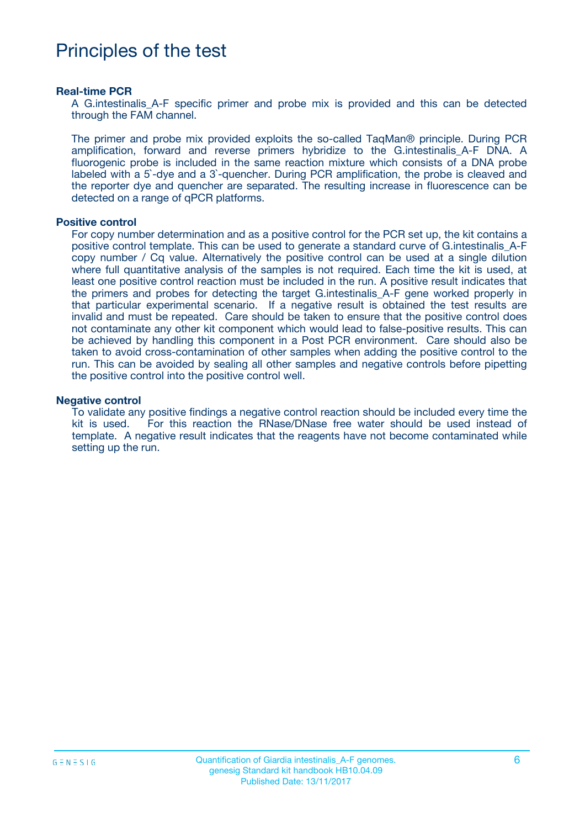## Principles of the test

#### **Real-time PCR**

A G.intestinalis\_A-F specific primer and probe mix is provided and this can be detected through the FAM channel.

The primer and probe mix provided exploits the so-called TaqMan® principle. During PCR amplification, forward and reverse primers hybridize to the G.intestinalis\_A-F DNA. A fluorogenic probe is included in the same reaction mixture which consists of a DNA probe labeled with a 5`-dye and a 3`-quencher. During PCR amplification, the probe is cleaved and the reporter dye and quencher are separated. The resulting increase in fluorescence can be detected on a range of qPCR platforms.

#### **Positive control**

For copy number determination and as a positive control for the PCR set up, the kit contains a positive control template. This can be used to generate a standard curve of G.intestinalis\_A-F copy number / Cq value. Alternatively the positive control can be used at a single dilution where full quantitative analysis of the samples is not required. Each time the kit is used, at least one positive control reaction must be included in the run. A positive result indicates that the primers and probes for detecting the target G.intestinalis\_A-F gene worked properly in that particular experimental scenario. If a negative result is obtained the test results are invalid and must be repeated. Care should be taken to ensure that the positive control does not contaminate any other kit component which would lead to false-positive results. This can be achieved by handling this component in a Post PCR environment. Care should also be taken to avoid cross-contamination of other samples when adding the positive control to the run. This can be avoided by sealing all other samples and negative controls before pipetting the positive control into the positive control well.

#### **Negative control**

To validate any positive findings a negative control reaction should be included every time the kit is used. For this reaction the RNase/DNase free water should be used instead of template. A negative result indicates that the reagents have not become contaminated while setting up the run.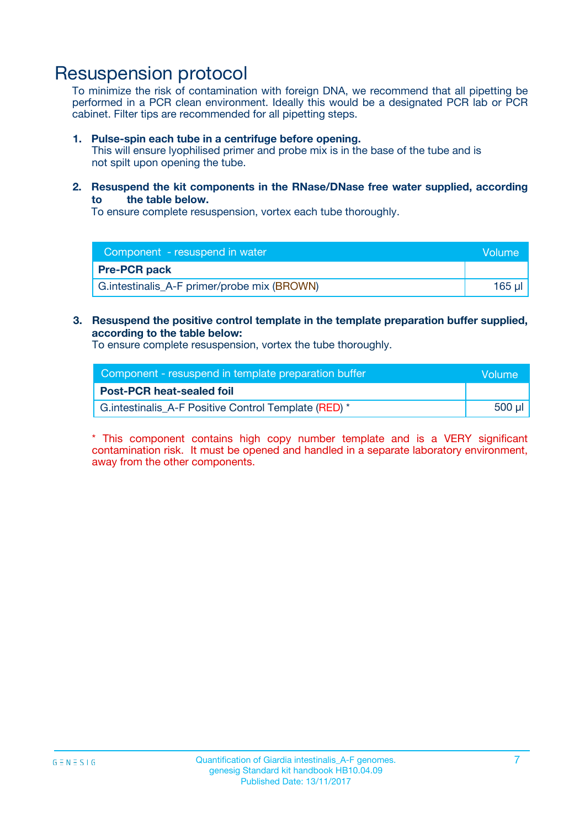### Resuspension protocol

To minimize the risk of contamination with foreign DNA, we recommend that all pipetting be performed in a PCR clean environment. Ideally this would be a designated PCR lab or PCR cabinet. Filter tips are recommended for all pipetting steps.

#### **1. Pulse-spin each tube in a centrifuge before opening.**

This will ensure lyophilised primer and probe mix is in the base of the tube and is not spilt upon opening the tube.

#### **2. Resuspend the kit components in the RNase/DNase free water supplied, according to the table below.**

To ensure complete resuspension, vortex each tube thoroughly.

| Component - resuspend in water              |          |  |  |
|---------------------------------------------|----------|--|--|
| <b>Pre-PCR pack</b>                         |          |  |  |
| G.intestinalis_A-F primer/probe mix (BROWN) | $165$ ul |  |  |

### **3. Resuspend the positive control template in the template preparation buffer supplied, according to the table below:**

To ensure complete resuspension, vortex the tube thoroughly.

| Component - resuspend in template preparation buffer |  |  |  |
|------------------------------------------------------|--|--|--|
| <b>Post-PCR heat-sealed foil</b>                     |  |  |  |
| G.intestinalis_A-F Positive Control Template (RED) * |  |  |  |

\* This component contains high copy number template and is a VERY significant contamination risk. It must be opened and handled in a separate laboratory environment, away from the other components.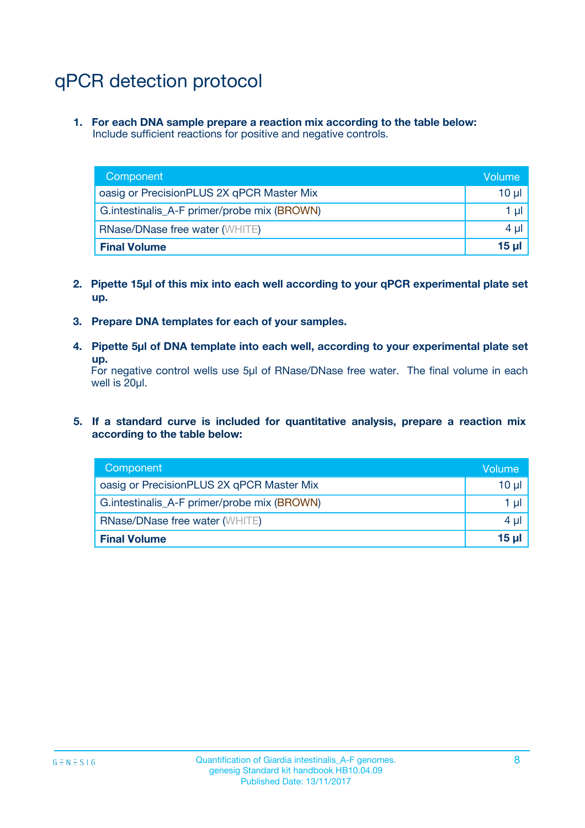# qPCR detection protocol

**1. For each DNA sample prepare a reaction mix according to the table below:** Include sufficient reactions for positive and negative controls.

| Component                                   | Volume   |  |
|---------------------------------------------|----------|--|
| oasig or PrecisionPLUS 2X qPCR Master Mix   | 10 $\mu$ |  |
| G.intestinalis_A-F primer/probe mix (BROWN) |          |  |
| <b>RNase/DNase free water (WHITE)</b>       |          |  |
| <b>Final Volume</b>                         |          |  |

- **2. Pipette 15µl of this mix into each well according to your qPCR experimental plate set up.**
- **3. Prepare DNA templates for each of your samples.**
- **4. Pipette 5µl of DNA template into each well, according to your experimental plate set up.**

For negative control wells use 5µl of RNase/DNase free water. The final volume in each well is 20µl.

**5. If a standard curve is included for quantitative analysis, prepare a reaction mix according to the table below:**

| Component                                   |  |  |
|---------------------------------------------|--|--|
| oasig or PrecisionPLUS 2X qPCR Master Mix   |  |  |
| G.intestinalis_A-F primer/probe mix (BROWN) |  |  |
| <b>RNase/DNase free water (WHITE)</b>       |  |  |
| <b>Final Volume</b>                         |  |  |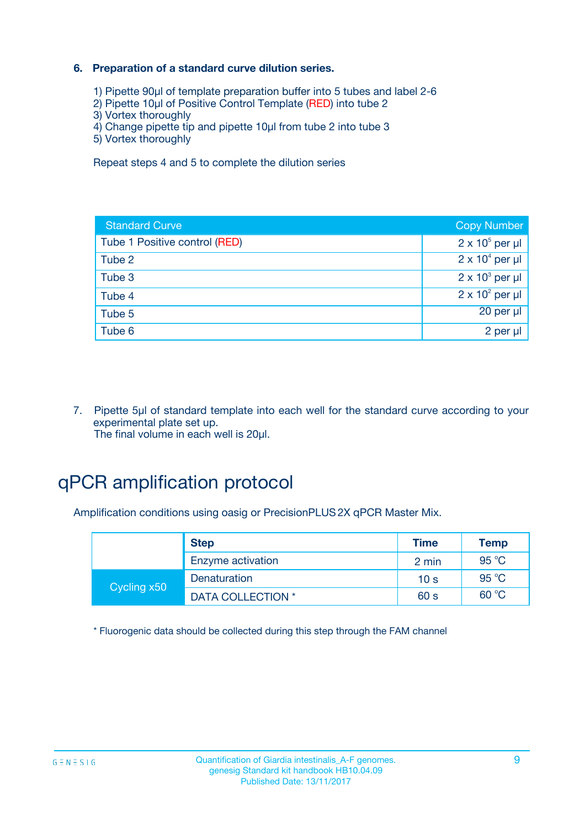### **6. Preparation of a standard curve dilution series.**

- 1) Pipette 90µl of template preparation buffer into 5 tubes and label 2-6
- 2) Pipette 10µl of Positive Control Template (RED) into tube 2
- 3) Vortex thoroughly
- 4) Change pipette tip and pipette 10µl from tube 2 into tube 3
- 5) Vortex thoroughly

Repeat steps 4 and 5 to complete the dilution series

| <b>Standard Curve</b>         | <b>Copy Number</b>     |
|-------------------------------|------------------------|
| Tube 1 Positive control (RED) | $2 \times 10^5$ per µl |
| Tube 2                        | $2 \times 10^4$ per µl |
| Tube 3                        | $2 \times 10^3$ per µl |
| Tube 4                        | $2 \times 10^2$ per µl |
| Tube 5                        | 20 per µl              |
| Tube 6                        | 2 per µl               |

7. Pipette 5µl of standard template into each well for the standard curve according to your experimental plate set up. The final volume in each well is 20µl.

# qPCR amplification protocol

Amplification conditions using oasig or PrecisionPLUS2X qPCR Master Mix.

|             | <b>Step</b>       | <b>Time</b>     | Temp  |
|-------------|-------------------|-----------------|-------|
|             | Enzyme activation | 2 min           | 95 °C |
|             | Denaturation      | 10 <sub>s</sub> | 95 °C |
| Cycling x50 | DATA COLLECTION * | 60 s            | 60 °C |

\* Fluorogenic data should be collected during this step through the FAM channel